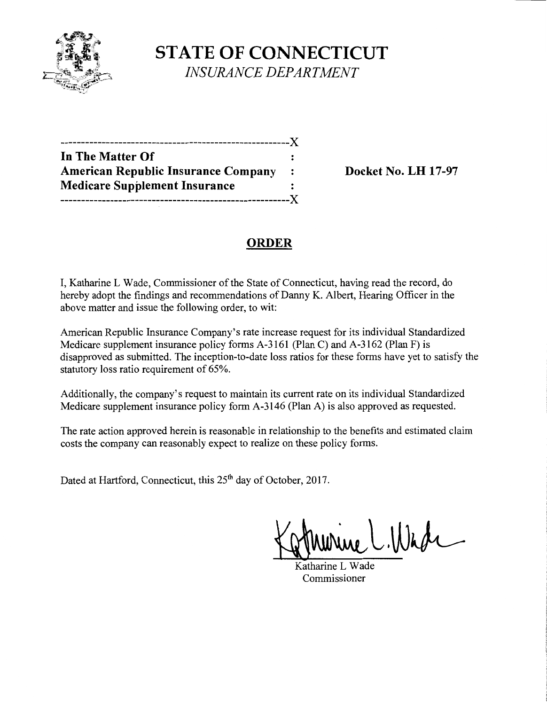

**STATE OF CONNECTICUT**  *INSURANCE DEPARTMENT* 

-------------------------------------------------------)( **In The Matter Of**  American Republic Insurance Company : Docket No. LH 17-97 **Medicare Supplement Insurance**  -------------------------------------------------------)(

## **ORDER**

I, Katharine L Wade, Commissioner of the State of Connecticut, having read the record, do hereby adopt the findings and recommendations of Danny K. Albert, Hearing Officer in the above matter and issue the following order, to wit:

American Republic Insurance Company's rate increase request for its individual Standardized Medicare supplement insurance policy forms A-3161 (Plan C) and A-3162 (Plan F) is disapproved as submitted. The inception-to-date loss ratios for these forms have yet to satisfy the statutory loss ratio requirement of 65%.

Additionally, the company's request to maintain its current rate on its individual Standardized Medicare supplement insurance policy form A-3146 (Plan A) is also approved as requested.

The rate action approved herein is reasonable in relationship to the benefits and estimated claim costs the company can reasonably expect to realize on these policy forms.

Dated at Hartford, Connecticut, this 25<sup>th</sup> day of October, 2017.

 $U.1$ lhde

Katharine L Wade Commissioner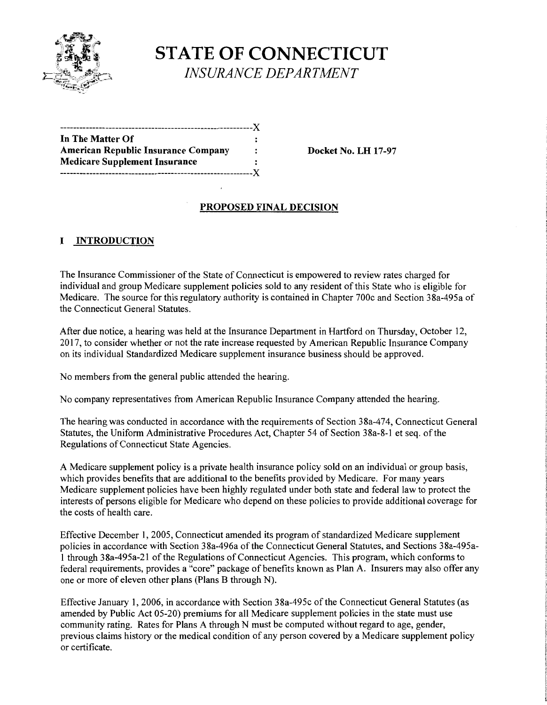

# **STATE OF CONNECTICUT**  *INSURANCE DEPARTMENT*

| ---------------------------------          |    |
|--------------------------------------------|----|
| In The Matter Of                           |    |
| <b>American Republic Insurance Company</b> | :  |
| <b>Medicare Supplement Insurance</b>       |    |
|                                            | -Y |

**Docket No. LH 17-97** 

### **PROPOSED FINAL DECISION**

## **I INTRODUCTION**

The Insurance Commissioner of the State of Connecticut is empowered to review rates charged for individual and group Medicare supplement policies sold to any resident of this State who is eligible for Medicare. The source for this regulatory authority is contained in Chapter 700c and Section 38a-495a of the Connecticut General Statutes.

After due notice, a hearing was held at the Insurance Department in Hartford on Thursday, October 12, 2017, to consider whether or not the rate increase requested by American Republic Insurance Company on its individual Standardized Medicare supplement insurance business should be approved.

No members from the general public attended the hearing.

No company representatives from American Republic Insurance Company attended the hearing.

The hearing was conducted in accordance with the requirements of Section 38a-474, Connecticut General Statutes, the Uniform Administrative Procedures Act, Chapter 54 of Section 38a-8-1 et seq. of the Regulations of Connecticut State Agencies.

A Medicare supplement policy is a private health insurance policy sold on an individual or group basis, which provides benefits that are additional to the benefits provided by Medicare. For many years Medicare supplement policies have been highly regulated under both state and federal law to protect the interests of persons eligible for Medicare who depend on these policies to provide additional coverage for the costs of health care.

Effective December 1, 2005, Connecticut amended its program of standardized Medicare supplement policies in accordance with Section 38a-496a of the Connecticut General Statutes, and Sections 38a-495a-1 through 38a-495a-21 ofthe Regulations of Connecticut Agencies. This program, which conforms to federal requirements, provides a "core" package of benefits known as Plan A. Insurers may also offer any one or more of eleven other plans (Plans B through N).

Effective January 1, 2006, in accordance with Section 38a-495c of the Connecticut General Statutes (as amended by Public Act 05-20) premiums for all Medicare supplement policies in the state must use community rating. Rates for Plans A through N must be computed without regard to age, gender, previous claims history or the medical condition of any person covered by a Medicare supplement policy or certificate.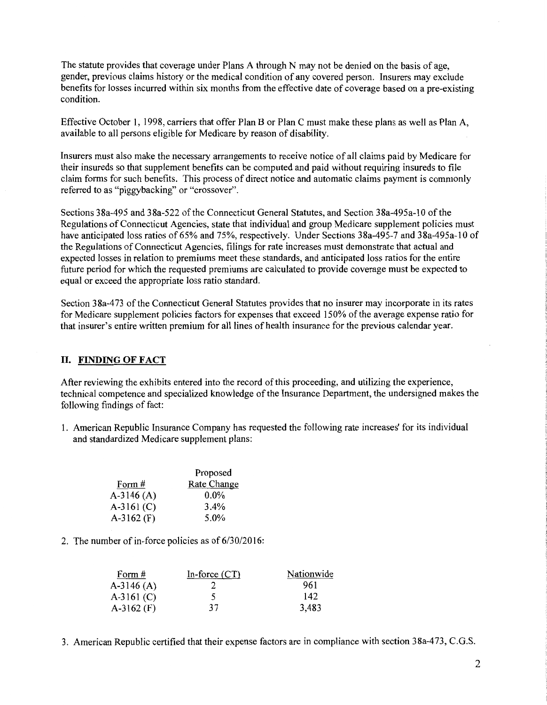The statute provides that coverage under Plans A through N may not be denied on the basis of age, gender, previous claims history or the medical condition of any covered person. Insurers may exclude benefits for losses incurred within six months from the effective date of coverage based on a pre-existing condition.

Effective October I, 1998, carriers that offer Plan B or Plan C must make these plans as well as Plan A, available to all persons eligible for Medicare by reason of disability.

Insurers must also make the necessary arrangements to receive notice of all claims paid by Medicare for their insureds so that supplement benefits can be computed and paid without requiring insureds to file claim forms for such benefits. This process of direct notice and automatic claims payment is commonly referred to as "piggybacking" or "crossover".

Sections 38a-495 and 38a-522 ofthe Connecticut General Statutes, and Section 38a-495a-10 of the Regulations of Connecticut Agencies, state that individual and group Medicare supplement policies must have anticipated loss ratios of 65% and 75%, respectively. Under Sections 38a-495-7 and 38a-495a-10 of the Regulations of Connecticut Agencies, filings for rate increases must demonstrate that actual and expected losses in relation to premiums meet these standards, and anticipated loss ratios for the entire future period for which the requested premiums are calculated to provide coverage must be expected to equal or exceed the appropriate loss ratio standard.

Section 38a-473 of the Connecticut General Statutes provides that no insurer may incorporate in its rates for Medicare supplement policies factors for expenses that exceed 150% of the average expense ratio for that insurer's entire written premium for all lines of health insurance for the previous calendar year.

#### II. FINDING OF FACT

After reviewing the exhibits entered into the record of this proceeding, and utilizing the experience, technical competence and specialized knowledge ofthe Insurance Department, the undersigned makes the following findings of fact:

1. American Republic Insurance Company has requested the following rate increases' for its individual and standardized Medicare supplement plans:

|              | Proposed    |
|--------------|-------------|
| Form #       | Rate Change |
| $A-3146(A)$  | $0.0\%$     |
| $A-3161$ (C) | $3.4\%$     |
| A-3162 $(F)$ | 5.0%        |

2. The number of in-force policies as of 6/30/2016:

| Form $#$     | In-force $(CT)$ | Nationwide |
|--------------|-----------------|------------|
| $A-3146(A)$  |                 | 961        |
| $A-3161$ (C) |                 | 142        |
| $A-3162$ (F) | 37              | 3,483      |

3. American Republic certified that their expense factors are in compliance with section 38a-473, C.G.S.